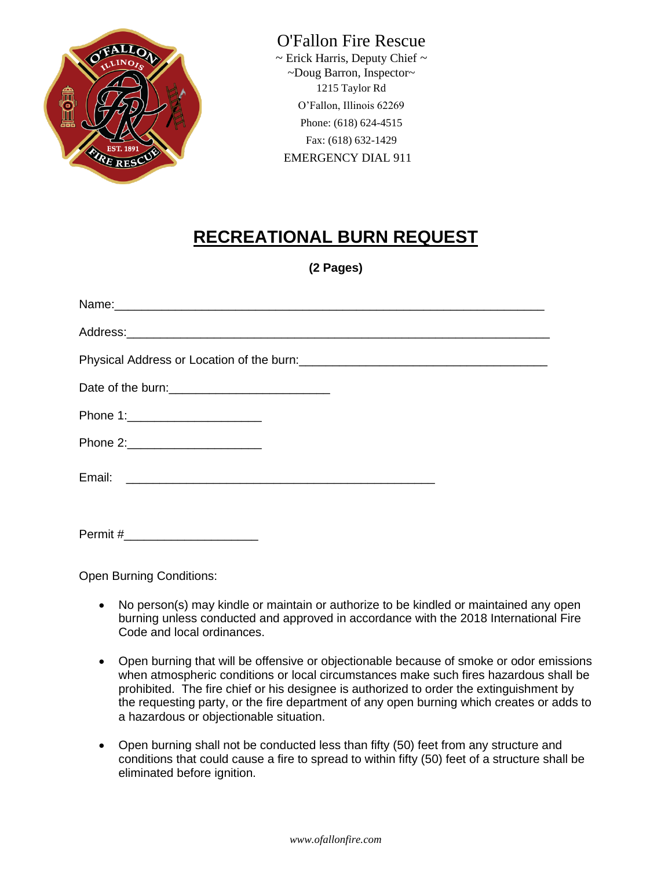

## O'Fallon Fire Rescue

 $\sim$  Erick Harris, Deputy Chief  $\sim$ ~Doug Barron, Inspector~ 1215 Taylor Rd O'Fallon, Illinois 62269 Phone: (618) 624-4515 Fax: (618) 632-1429 EMERGENCY DIAL 911

## **RECREATIONAL BURN REQUEST**

**(2 Pages)**

| Phone 1: _______________________ |
|----------------------------------|
| Phone 2:________________________ |
|                                  |
| Permit#                          |

Open Burning Conditions:

- No person(s) may kindle or maintain or authorize to be kindled or maintained any open burning unless conducted and approved in accordance with the 2018 International Fire Code and local ordinances.
- Open burning that will be offensive or objectionable because of smoke or odor emissions when atmospheric conditions or local circumstances make such fires hazardous shall be prohibited. The fire chief or his designee is authorized to order the extinguishment by the requesting party, or the fire department of any open burning which creates or adds to a hazardous or objectionable situation.
- Open burning shall not be conducted less than fifty (50) feet from any structure and conditions that could cause a fire to spread to within fifty (50) feet of a structure shall be eliminated before ignition.